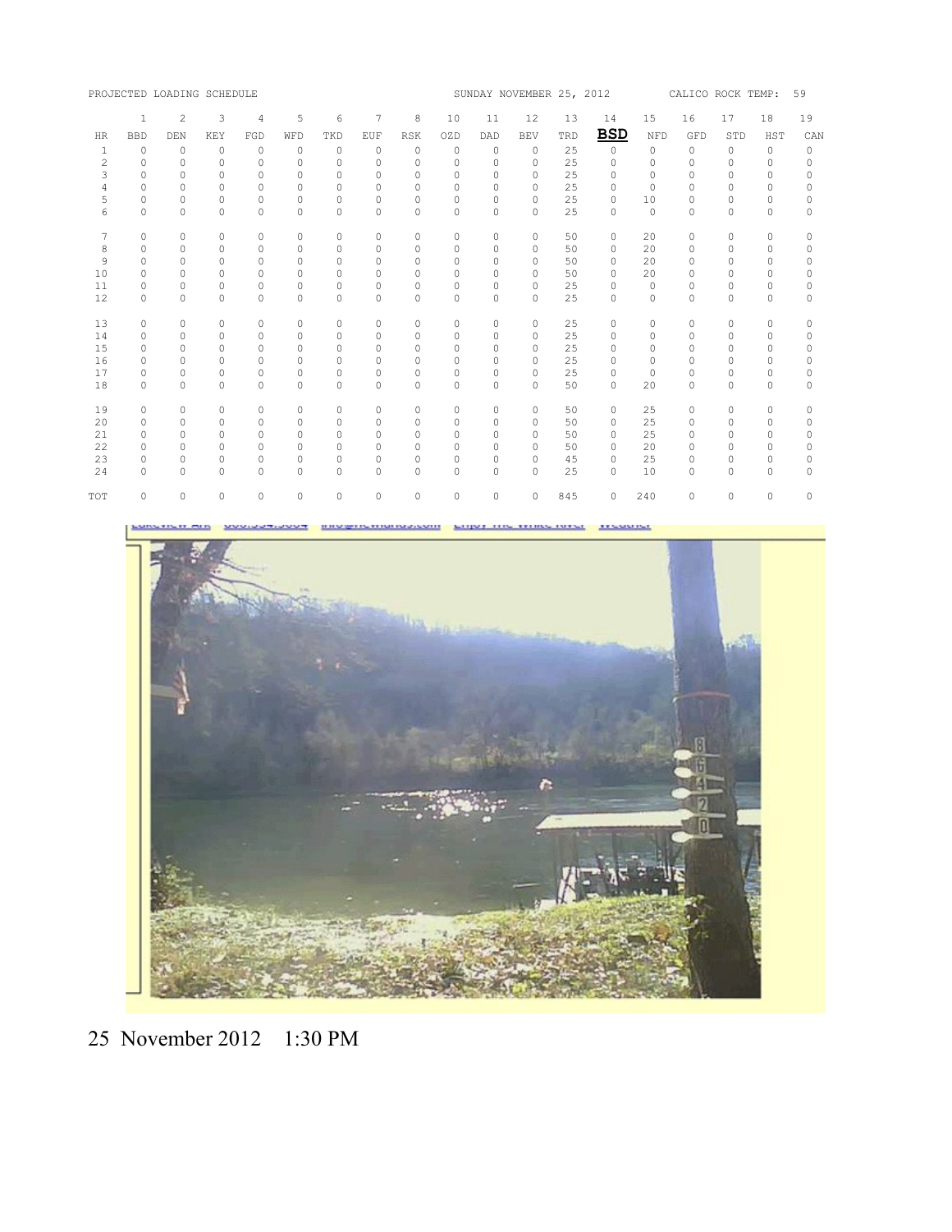|     |              | PROJECTED LOADING SCHEDULE |           |            |          |           |           |            | SUNDAY NOVEMBER 25, 2012 |          |            |     |            | 59<br>CALICO ROCK TEMP: |          |          |          |          |
|-----|--------------|----------------------------|-----------|------------|----------|-----------|-----------|------------|--------------------------|----------|------------|-----|------------|-------------------------|----------|----------|----------|----------|
|     | $\mathbf{1}$ | 2                          | 3         | $\sqrt{4}$ | 5        | 6         | 7         | 8          | 10                       | 11       | 12         | 13  | 14         | 15                      | 16       | 17       | 18       | 19       |
| HR  | <b>BBD</b>   | DEN                        | KEY       | FGD        | WFD      | TKD       | EUF       | <b>RSK</b> | OZD                      | DAD      | <b>BEV</b> | TRD | <b>BSD</b> | NFD                     | GFD      | STD      | HST      | CAN      |
| 1   | $\circ$      | 0                          | 0         | 0          | 0        | 0         | $\circ$   | $\circ$    | $\mathbf{0}$             | 0        | $\circ$    | 25  | $\circ$    | 0                       | 0        | 0        | 0        | 0        |
| 2   | $\Omega$     | $\Omega$                   | $\Omega$  | $\Omega$   | $\Omega$ | $\Omega$  | $\Omega$  | $\Omega$   | $\Omega$                 | $\Omega$ | $\Omega$   | 25  | $\Omega$   | $\Omega$                | $\Omega$ | $\Omega$ | $\Omega$ | 0        |
| 3   | $\Omega$     | 0                          | 0         | $\Omega$   | $\Omega$ | $\Omega$  | $\Omega$  | $\Omega$   | $\Omega$                 | $\Omega$ | $\Omega$   | 25  | $\Omega$   | $\Omega$                | $\Omega$ | $\Omega$ | $\Omega$ | 0        |
| 4   | $\Omega$     | $\Omega$                   | $\Omega$  | $\Omega$   | $\Omega$ | $\Omega$  | $\Omega$  | $\Omega$   | $\Omega$                 | $\Omega$ | $\Omega$   | 25  | $\Omega$   | $\Omega$                | $\Omega$ | $\Omega$ | $\Omega$ | $\Omega$ |
| 5   | $\circ$      | $\circ$                    | $\circ$   | 0          | $\circ$  | $\circ$   | $\circ$   | 0          | 0                        | 0        | $\circ$    | 25  | $\Omega$   | 10                      | $\circ$  | $\circ$  | $\circ$  | 0        |
| 6   | $\Omega$     | $\Omega$                   | $\Omega$  | $\Omega$   | $\Omega$ | $\Omega$  | $\Omega$  | $\Omega$   | $\Omega$                 | $\Omega$ | $\Omega$   | 25  | $\Omega$   | $\mathbf 0$             | $\Omega$ | $\Omega$ | $\Omega$ | $\Omega$ |
| 7   | $\circ$      | 0                          | $\Omega$  | $\Omega$   | $\circ$  | $\Omega$  | $\Omega$  | $\Omega$   | $\circ$                  | $\circ$  | $\Omega$   | 50  | $\Omega$   | 20                      | $\circ$  | $\circ$  | $\circ$  | 0        |
| 8   | $\circ$      | $\circ$                    | $\circ$   | 0          | $\circ$  | $\circ$   | $\circ$   | $\circ$    | $\circ$                  | $\circ$  | 0          | 50  | 0          | 20                      | $\circ$  | $\circ$  | $\circ$  | 0        |
| 9   | $\Omega$     | $\Omega$                   | $\Omega$  | $\Omega$   | $\Omega$ | $\Omega$  | $\Omega$  | $\Omega$   | $\Omega$                 | $\Omega$ | $\Omega$   | 50  | $\Omega$   | 20                      | $\Omega$ | $\Omega$ | $\Omega$ | 0        |
| 10  | $\Omega$     | $\Omega$                   | 0         | $\Omega$   | $\Omega$ | $\Omega$  | $\Omega$  | $\Omega$   | $\Omega$                 | $\Omega$ | $\Omega$   | 50  | $\Omega$   | 20                      | $\Omega$ | $\Omega$ | $\Omega$ | 0        |
| 11  | $\Omega$     | $\Omega$                   | $\Omega$  | $\Omega$   | 0        | $\Omega$  | $\Omega$  | $\Omega$   | $\Omega$                 | $\Omega$ | $\Omega$   | 25  | $\Omega$   | $\Omega$                | $\Omega$ | 0        | 0        | 0        |
| 12  | $\circ$      | $\circ$                    | $\circ$   | $\Omega$   | $\circ$  | $\circ$   | $\circ$   | 0          | 0                        | 0        | $\circ$    | 25  | $\circ$    | $\mathbf 0$             | $\circ$  | $\circ$  | $\circ$  | 0        |
| 13  | $\circ$      | 0                          | $\Omega$  | $\Omega$   | $\Omega$ | $\Omega$  | $\Omega$  | $\Omega$   | $\Omega$                 | 0        | $\Omega$   | 25  | $\Omega$   | $\mathbf 0$             | $\circ$  | $\circ$  | $\Omega$ | 0        |
| 14  | $\Omega$     | $\Omega$                   | $\Omega$  | $\Omega$   | $\Omega$ | $\Omega$  | $\Omega$  | $\Omega$   | $\Omega$                 | $\Omega$ | $\Omega$   | 25  | $\Omega$   | $\Omega$                | $\Omega$ | $\Omega$ | $\Omega$ | 0        |
| 15  | $\circ$      | $\circ$                    | $\Omega$  | 0          | $\circ$  | $\circ$   | $\Omega$  | $\circ$    | 0                        | 0        | $\circ$    | 25  | 0          | $\circ$                 | $\circ$  | $\circ$  | $\circ$  | 0        |
| 16  | $\Omega$     | $\Omega$                   | $\Omega$  | $\Omega$   | $\Omega$ | $\Omega$  | $\Omega$  | 0          | $\Omega$                 | $\Omega$ | $\Omega$   | 25  | $\Omega$   | $\Omega$                | $\Omega$ | $\Omega$ | $\Omega$ | 0        |
| 17  | $\Omega$     | 0                          | $\Omega$  | 0          | 0        | $\Omega$  | $\Omega$  | $\Omega$   | 0                        | 0        | $\Omega$   | 25  | $\Omega$   | $\mathbf 0$             | $\Omega$ | $\circ$  | $\circ$  | 0        |
| 18  | $\Omega$     | $\Omega$                   | $\Omega$  | $\Omega$   | $\Omega$ | $\Omega$  | $\Omega$  | $\Omega$   | $\Omega$                 | $\Omega$ | $\Omega$   | 50  | $\Omega$   | 20                      | $\Omega$ | $\Omega$ | $\Omega$ | $\Omega$ |
| 19  | $\Omega$     | $\Omega$                   | $\Omega$  | $\Omega$   | $\Omega$ | $\Omega$  | $\Omega$  | $\Omega$   | $\Omega$                 | $\circ$  | $\Omega$   | 50  | $\Omega$   | 25                      | $\Omega$ | $\Omega$ | $\Omega$ | 0        |
| 20  | $\Omega$     | $\Omega$                   | $\Omega$  | $\Omega$   | $\Omega$ | $\Omega$  | $\Omega$  | $\Omega$   | $\Omega$                 | $\Omega$ | $\Omega$   | 50  | $\Omega$   | 25                      | $\Omega$ | $\Omega$ | $\Omega$ | 0        |
| 21  | $\Omega$     | $\Omega$                   | $\bigcap$ | $\cap$     | $\Omega$ | $\bigcap$ | $\bigcap$ | $\Omega$   | $\Omega$                 | $\Omega$ | $\bigcap$  | 50  | $\Omega$   | 25                      | $\Omega$ | $\Omega$ | $\Omega$ | $\Omega$ |
| 22  | $\circ$      | $\circ$                    | $\Omega$  | 0          | 0        | $\circ$   | $\Omega$  | 0          | 0                        | 0        | $\Omega$   | 50  | $\Omega$   | 20                      | $\Omega$ | $\circ$  | $\Omega$ | 0        |
| 23  | 0            | 0                          | 0         | 0          | $\circ$  | $\circ$   | 0         | 0          | 0                        | 0        | 0          | 45  | $\Omega$   | 25                      | 0        | 0        | 0        | 0        |
| 24  | $\Omega$     | $\Omega$                   | $\Omega$  | $\Omega$   | $\Omega$ | $\Omega$  | $\Omega$  | $\Omega$   | $\Omega$                 | $\Omega$ | $\Omega$   | 25  | $\Omega$   | 10                      | $\Omega$ | $\Omega$ | $\Omega$ | $\Omega$ |
| TOT | $\Omega$     | $\Omega$                   | $\Omega$  | $\Omega$   | $\circ$  | $\Omega$  | $\Omega$  | $\Omega$   | $\Omega$                 | $\circ$  | $\circ$    | 845 | $\Omega$   | 240                     | $\Omega$ | $\circ$  | $\circ$  | $\circ$  |

**HHV: PERSONAL MERGENESIS MITTY! TMY Sell** *A R. S. MALLAND* 



25 November 2012 1:30 PM